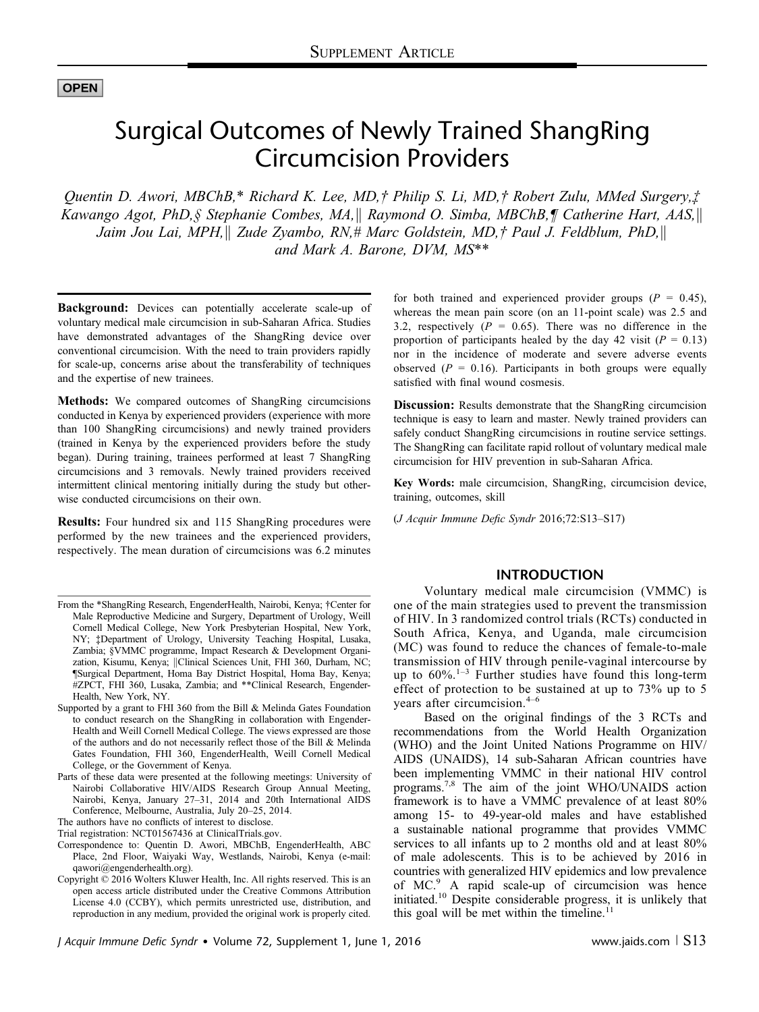**OPEN** 

# Surgical Outcomes of Newly Trained ShangRing Circumcision Providers

Quentin D. Awori, MBChB,\* Richard K. Lee, MD,† Philip S. Li, MD,† Robert Zulu, MMed Surgery,‡ Kawango Agot, PhD, § Stephanie Combes, MA, || Raymond O. Simba, MBChB, ¶ Catherine Hart, AAS, || Jaim Jou Lai, MPH, Zude Zyambo, RN,# Marc Goldstein, MD,† Paul J. Feldblum, PhD, || and Mark A. Barone, DVM, MS\*\*

Background: Devices can potentially accelerate scale-up of voluntary medical male circumcision in sub-Saharan Africa. Studies have demonstrated advantages of the ShangRing device over conventional circumcision. With the need to train providers rapidly for scale-up, concerns arise about the transferability of techniques and the expertise of new trainees.

Methods: We compared outcomes of ShangRing circumcisions conducted in Kenya by experienced providers (experience with more than 100 ShangRing circumcisions) and newly trained providers (trained in Kenya by the experienced providers before the study began). During training, trainees performed at least 7 ShangRing circumcisions and 3 removals. Newly trained providers received intermittent clinical mentoring initially during the study but otherwise conducted circumcisions on their own.

Results: Four hundred six and 115 ShangRing procedures were performed by the new trainees and the experienced providers, respectively. The mean duration of circumcisions was 6.2 minutes

- Supported by a grant to FHI 360 from the Bill & Melinda Gates Foundation to conduct research on the ShangRing in collaboration with Engender-Health and Weill Cornell Medical College. The views expressed are those of the authors and do not necessarily reflect those of the Bill & Melinda Gates Foundation, FHI 360, EngenderHealth, Weill Cornell Medical College, or the Government of Kenya.
- Parts of these data were presented at the following meetings: University of Nairobi Collaborative HIV/AIDS Research Group Annual Meeting, Nairobi, Kenya, January 27–31, 2014 and 20th International AIDS Conference, Melbourne, Australia, July 20–25, 2014.

The authors have no conflicts of interest to disclose.

- Correspondence to: Quentin D. Awori, MBChB, EngenderHealth, ABC Place, 2nd Floor, Waiyaki Way, Westlands, Nairobi, Kenya (e-mail: [qawori@engenderhealth.org\)](mailto:qawori@engenderhealth.org).
- Copyright © 2016 Wolters Kluwer Health, Inc. All rights reserved. This is an open access article distributed under the Creative Commons Attribution License 4.0 (CCBY), which permits unrestricted use, distribution, and reproduction in any medium, provided the original work is properly cited.

for both trained and experienced provider groups ( $P = 0.45$ ), whereas the mean pain score (on an 11-point scale) was 2.5 and 3.2, respectively ( $P = 0.65$ ). There was no difference in the proportion of participants healed by the day 42 visit ( $P = 0.13$ ) nor in the incidence of moderate and severe adverse events observed ( $P = 0.16$ ). Participants in both groups were equally satisfied with final wound cosmesis.

**Discussion:** Results demonstrate that the ShangRing circumcision technique is easy to learn and master. Newly trained providers can safely conduct ShangRing circumcisions in routine service settings. The ShangRing can facilitate rapid rollout of voluntary medical male circumcision for HIV prevention in sub-Saharan Africa.

Key Words: male circumcision, ShangRing, circumcision device, training, outcomes, skill

(J Acquir Immune Defic Syndr 2016;72:S13–S17)

## INTRODUCTION

Voluntary medical male circumcision (VMMC) is one of the main strategies used to prevent the transmission of HIV. In 3 randomized control trials (RCTs) conducted in South Africa, Kenya, and Uganda, male circumcision (MC) was found to reduce the chances of female-to-male transmission of HIV through penile-vaginal intercourse by up to  $60\%$ .<sup>1-3</sup> Further studies have found this long-term effect of protection to be sustained at up to 73% up to 5 years after circumcision.<sup>4</sup>–<sup>6</sup>

Based on the original findings of the 3 RCTs and recommendations from the World Health Organization (WHO) and the Joint United Nations Programme on HIV/ AIDS (UNAIDS), 14 sub-Saharan African countries have been implementing VMMC in their national HIV control programs.7,8 The aim of the joint WHO/UNAIDS action framework is to have a VMMC prevalence of at least 80% among 15- to 49-year-old males and have established a sustainable national programme that provides VMMC services to all infants up to 2 months old and at least 80% of male adolescents. This is to be achieved by 2016 in countries with generalized HIV epidemics and low prevalence of MC.<sup>9</sup> A rapid scale-up of circumcision was hence initiated.<sup>10</sup> Despite considerable progress, it is unlikely that this goal will be met within the timeline. $11$ 

From the \*ShangRing Research, EngenderHealth, Nairobi, Kenya; †Center for Male Reproductive Medicine and Surgery, Department of Urology, Weill Cornell Medical College, New York Presbyterian Hospital, New York, NY; ‡Department of Urology, University Teaching Hospital, Lusaka, Zambia; §VMMC programme, Impact Research & Development Organization, Kisumu, Kenya; ||Clinical Sciences Unit, FHI 360, Durham, NC; ¶Surgical Department, Homa Bay District Hospital, Homa Bay, Kenya; #ZPCT, FHI 360, Lusaka, Zambia; and \*\*Clinical Research, Engender-Health, New York, NY.

Trial registration: NCT01567436 at ClinicalTrials.gov.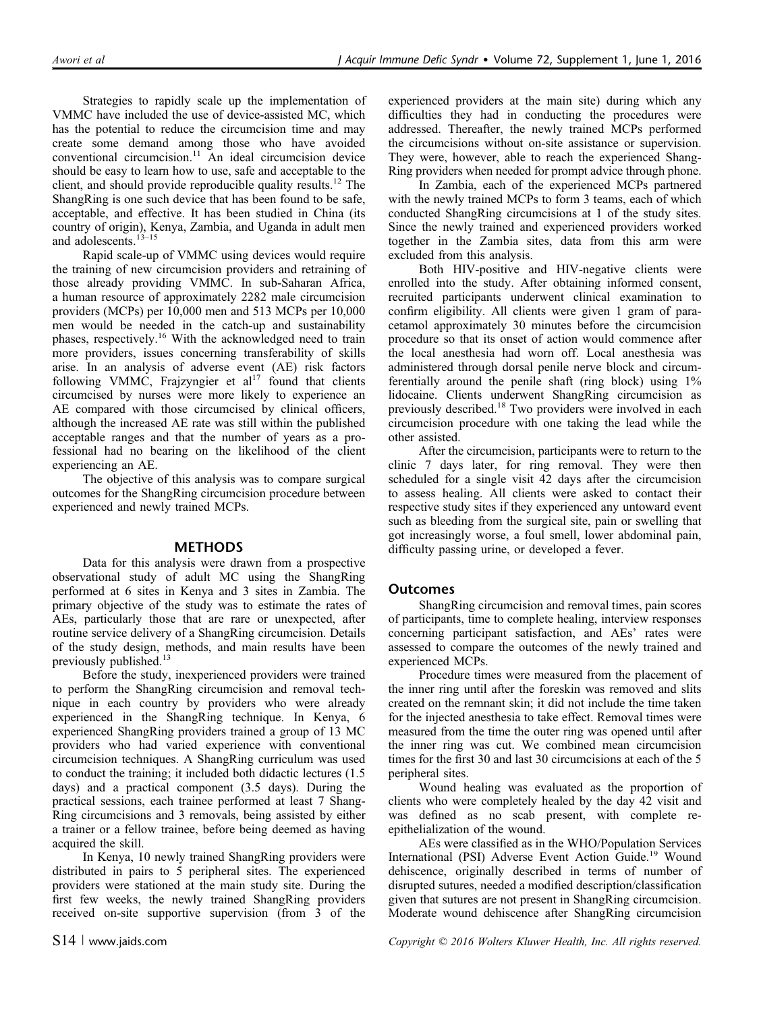Strategies to rapidly scale up the implementation of VMMC have included the use of device-assisted MC, which has the potential to reduce the circumcision time and may create some demand among those who have avoided conventional circumcision.<sup>11</sup> An ideal circumcision device should be easy to learn how to use, safe and acceptable to the client, and should provide reproducible quality results.<sup>12</sup> The ShangRing is one such device that has been found to be safe. acceptable, and effective. It has been studied in China (its country of origin), Kenya, Zambia, and Uganda in adult men and adolescents.<sup>13-15</sup>

Rapid scale-up of VMMC using devices would require the training of new circumcision providers and retraining of those already providing VMMC. In sub-Saharan Africa, a human resource of approximately 2282 male circumcision providers (MCPs) per 10,000 men and 513 MCPs per 10,000 men would be needed in the catch-up and sustainability phases, respectively.16 With the acknowledged need to train more providers, issues concerning transferability of skills arise. In an analysis of adverse event (AE) risk factors following VMMC, Frajzyngier et  $al<sup>17</sup>$  found that clients circumcised by nurses were more likely to experience an AE compared with those circumcised by clinical officers, although the increased AE rate was still within the published acceptable ranges and that the number of years as a professional had no bearing on the likelihood of the client experiencing an AE.

The objective of this analysis was to compare surgical outcomes for the ShangRing circumcision procedure between experienced and newly trained MCPs.

# **METHODS**

Data for this analysis were drawn from a prospective observational study of adult MC using the ShangRing performed at 6 sites in Kenya and 3 sites in Zambia. The primary objective of the study was to estimate the rates of AEs, particularly those that are rare or unexpected, after routine service delivery of a ShangRing circumcision. Details of the study design, methods, and main results have been previously published.<sup>13</sup>

Before the study, inexperienced providers were trained to perform the ShangRing circumcision and removal technique in each country by providers who were already experienced in the ShangRing technique. In Kenya, 6 experienced ShangRing providers trained a group of 13 MC providers who had varied experience with conventional circumcision techniques. A ShangRing curriculum was used to conduct the training; it included both didactic lectures (1.5 days) and a practical component (3.5 days). During the practical sessions, each trainee performed at least 7 Shang-Ring circumcisions and 3 removals, being assisted by either a trainer or a fellow trainee, before being deemed as having acquired the skill.

In Kenya, 10 newly trained ShangRing providers were distributed in pairs to 5 peripheral sites. The experienced providers were stationed at the main study site. During the first few weeks, the newly trained ShangRing providers received on-site supportive supervision (from 3 of the

experienced providers at the main site) during which any difficulties they had in conducting the procedures were addressed. Thereafter, the newly trained MCPs performed the circumcisions without on-site assistance or supervision. They were, however, able to reach the experienced Shang-Ring providers when needed for prompt advice through phone.

In Zambia, each of the experienced MCPs partnered with the newly trained MCPs to form 3 teams, each of which conducted ShangRing circumcisions at 1 of the study sites. Since the newly trained and experienced providers worked together in the Zambia sites, data from this arm were excluded from this analysis.

Both HIV-positive and HIV-negative clients were enrolled into the study. After obtaining informed consent, recruited participants underwent clinical examination to confirm eligibility. All clients were given 1 gram of paracetamol approximately 30 minutes before the circumcision procedure so that its onset of action would commence after the local anesthesia had worn off. Local anesthesia was administered through dorsal penile nerve block and circumferentially around the penile shaft (ring block) using 1% lidocaine. Clients underwent ShangRing circumcision as previously described.<sup>18</sup> Two providers were involved in each circumcision procedure with one taking the lead while the other assisted.

After the circumcision, participants were to return to the clinic 7 days later, for ring removal. They were then scheduled for a single visit 42 days after the circumcision to assess healing. All clients were asked to contact their respective study sites if they experienced any untoward event such as bleeding from the surgical site, pain or swelling that got increasingly worse, a foul smell, lower abdominal pain, difficulty passing urine, or developed a fever.

# **Outcomes**

ShangRing circumcision and removal times, pain scores of participants, time to complete healing, interview responses concerning participant satisfaction, and AEs' rates were assessed to compare the outcomes of the newly trained and experienced MCPs.

Procedure times were measured from the placement of the inner ring until after the foreskin was removed and slits created on the remnant skin; it did not include the time taken for the injected anesthesia to take effect. Removal times were measured from the time the outer ring was opened until after the inner ring was cut. We combined mean circumcision times for the first 30 and last 30 circumcisions at each of the 5 peripheral sites.

Wound healing was evaluated as the proportion of clients who were completely healed by the day 42 visit and was defined as no scab present, with complete reepithelialization of the wound.

AEs were classified as in the WHO/Population Services International (PSI) Adverse Event Action Guide.<sup>19</sup> Wound dehiscence, originally described in terms of number of disrupted sutures, needed a modified description/classification given that sutures are not present in ShangRing circumcision. Moderate wound dehiscence after ShangRing circumcision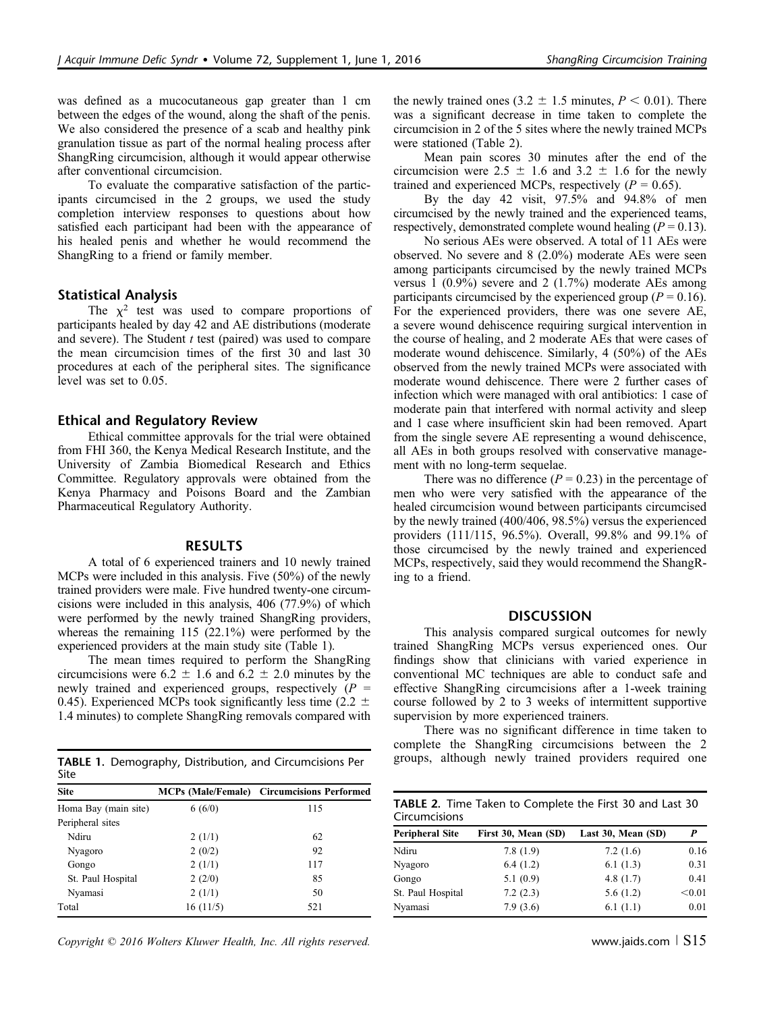was defined as a mucocutaneous gap greater than 1 cm between the edges of the wound, along the shaft of the penis. We also considered the presence of a scab and healthy pink granulation tissue as part of the normal healing process after ShangRing circumcision, although it would appear otherwise after conventional circumcision.

To evaluate the comparative satisfaction of the participants circumcised in the 2 groups, we used the study completion interview responses to questions about how satisfied each participant had been with the appearance of his healed penis and whether he would recommend the ShangRing to a friend or family member.

#### Statistical Analysis

The  $\chi^2$  test was used to compare proportions of participants healed by day 42 and AE distributions (moderate and severe). The Student  $t$  test (paired) was used to compare the mean circumcision times of the first 30 and last 30 procedures at each of the peripheral sites. The significance level was set to 0.05.

### Ethical and Regulatory Review

Ethical committee approvals for the trial were obtained from FHI 360, the Kenya Medical Research Institute, and the University of Zambia Biomedical Research and Ethics Committee. Regulatory approvals were obtained from the Kenya Pharmacy and Poisons Board and the Zambian Pharmaceutical Regulatory Authority.

#### RESULTS

A total of 6 experienced trainers and 10 newly trained MCPs were included in this analysis. Five (50%) of the newly trained providers were male. Five hundred twenty-one circumcisions were included in this analysis, 406 (77.9%) of which were performed by the newly trained ShangRing providers, whereas the remaining 115 (22.1%) were performed by the experienced providers at the main study site (Table 1).

The mean times required to perform the ShangRing circumcisions were 6.2  $\pm$  1.6 and 6.2  $\pm$  2.0 minutes by the newly trained and experienced groups, respectively  $(P =$ 0.45). Experienced MCPs took significantly less time (2.2  $\pm$ 1.4 minutes) to complete ShangRing removals compared with

Site

| <b>Site</b>          |          | <b>MCPs (Male/Female)</b> Circumcisions Performed |
|----------------------|----------|---------------------------------------------------|
| Homa Bay (main site) | 6(6/0)   | 115                                               |
| Peripheral sites     |          |                                                   |
| Ndiru                | 2(1/1)   | 62                                                |
| Nyagoro              | 2(0/2)   | 92                                                |
| Gongo                | 2(1/1)   | 117                                               |
| St. Paul Hospital    | 2(2/0)   | 85                                                |
| Nyamasi              | 2(1/1)   | 50                                                |
| Total                | 16(11/5) | 521                                               |

Copyright  $\odot$  2016 Wolters Kluwer Health, Inc. All rights reserved. www.jaids.com  $\lceil S15 \rceil$ 

the newly trained ones  $(3.2 \pm 1.5 \text{ minutes}, P \le 0.01)$ . There was a significant decrease in time taken to complete the circumcision in 2 of the 5 sites where the newly trained MCPs were stationed (Table 2).

Mean pain scores 30 minutes after the end of the circumcision were  $2.5 \pm 1.6$  and  $3.2 \pm 1.6$  for the newly trained and experienced MCPs, respectively ( $P = 0.65$ ).

By the day 42 visit, 97.5% and 94.8% of men circumcised by the newly trained and the experienced teams, respectively, demonstrated complete wound healing ( $P = 0.13$ ).

No serious AEs were observed. A total of 11 AEs were observed. No severe and 8 (2.0%) moderate AEs were seen among participants circumcised by the newly trained MCPs versus 1 (0.9%) severe and 2 (1.7%) moderate AEs among participants circumcised by the experienced group ( $P = 0.16$ ). For the experienced providers, there was one severe AE, a severe wound dehiscence requiring surgical intervention in the course of healing, and 2 moderate AEs that were cases of moderate wound dehiscence. Similarly, 4 (50%) of the AEs observed from the newly trained MCPs were associated with moderate wound dehiscence. There were 2 further cases of infection which were managed with oral antibiotics: 1 case of moderate pain that interfered with normal activity and sleep and 1 case where insufficient skin had been removed. Apart from the single severe AE representing a wound dehiscence, all AEs in both groups resolved with conservative management with no long-term sequelae.

There was no difference ( $P = 0.23$ ) in the percentage of men who were very satisfied with the appearance of the healed circumcision wound between participants circumcised by the newly trained (400/406, 98.5%) versus the experienced providers (111/115, 96.5%). Overall, 99.8% and 99.1% of those circumcised by the newly trained and experienced MCPs, respectively, said they would recommend the ShangRing to a friend.

#### **DISCUSSION**

This analysis compared surgical outcomes for newly trained ShangRing MCPs versus experienced ones. Our findings show that clinicians with varied experience in conventional MC techniques are able to conduct safe and effective ShangRing circumcisions after a 1-week training course followed by 2 to 3 weeks of intermittent supportive supervision by more experienced trainers.

There was no significant difference in time taken to complete the ShangRing circumcisions between the 2 TABLE 1. Demography, Distribution, and Circumcisions Per groups, although newly trained providers required one

| <b>TABLE 2.</b> Time Taken to Complete the First 30 and Last 30<br>Circumcisions |                     |                    |        |
|----------------------------------------------------------------------------------|---------------------|--------------------|--------|
| <b>Peripheral Site</b>                                                           | First 30, Mean (SD) | Last 30, Mean (SD) | P      |
| Ndiru                                                                            | 7.8(1.9)            | 7.2(1.6)           | 0.16   |
| Nyagoro                                                                          | 6.4(1.2)            | 6.1(1.3)           | 0.31   |
| Gongo                                                                            | 5.1(0.9)            | 4.8(1.7)           | 0.41   |
| St. Paul Hospital                                                                | 7.2(2.3)            | 5.6(1.2)           | < 0.01 |
| Nyamasi                                                                          | 7.9(3.6)            | 6.1(1.1)           | 0.01   |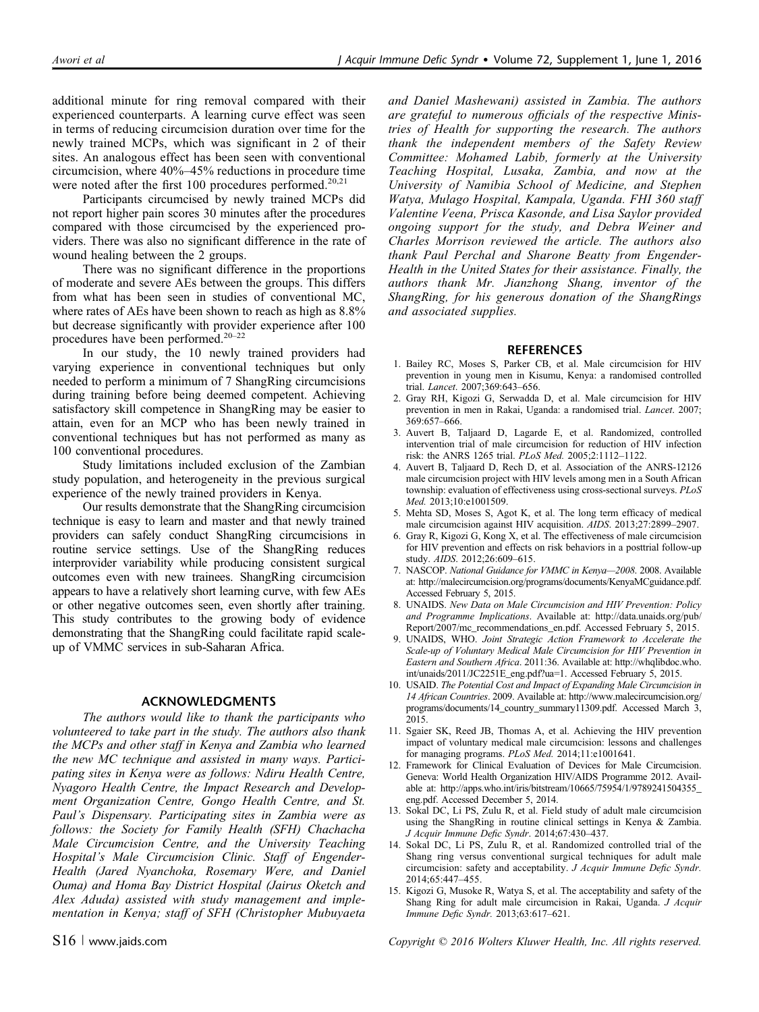additional minute for ring removal compared with their experienced counterparts. A learning curve effect was seen in terms of reducing circumcision duration over time for the newly trained MCPs, which was significant in 2 of their sites. An analogous effect has been seen with conventional circumcision, where 40%–45% reductions in procedure time were noted after the first 100 procedures performed.<sup>20,21</sup>

Participants circumcised by newly trained MCPs did not report higher pain scores 30 minutes after the procedures compared with those circumcised by the experienced providers. There was also no significant difference in the rate of wound healing between the 2 groups.

There was no significant difference in the proportions of moderate and severe AEs between the groups. This differs from what has been seen in studies of conventional MC, where rates of AEs have been shown to reach as high as 8.8% but decrease significantly with provider experience after 100 procedures have been performed.<sup>20</sup>–<sup>22</sup>

In our study, the 10 newly trained providers had varying experience in conventional techniques but only needed to perform a minimum of 7 ShangRing circumcisions during training before being deemed competent. Achieving satisfactory skill competence in ShangRing may be easier to attain, even for an MCP who has been newly trained in conventional techniques but has not performed as many as 100 conventional procedures.

Study limitations included exclusion of the Zambian study population, and heterogeneity in the previous surgical experience of the newly trained providers in Kenya.

Our results demonstrate that the ShangRing circumcision technique is easy to learn and master and that newly trained providers can safely conduct ShangRing circumcisions in routine service settings. Use of the ShangRing reduces interprovider variability while producing consistent surgical outcomes even with new trainees. ShangRing circumcision appears to have a relatively short learning curve, with few AEs or other negative outcomes seen, even shortly after training. This study contributes to the growing body of evidence demonstrating that the ShangRing could facilitate rapid scaleup of VMMC services in sub-Saharan Africa.

### ACKNOWLEDGMENTS

The authors would like to thank the participants who volunteered to take part in the study. The authors also thank the MCPs and other staff in Kenya and Zambia who learned the new MC technique and assisted in many ways. Participating sites in Kenya were as follows: Ndiru Health Centre, Nyagoro Health Centre, the Impact Research and Development Organization Centre, Gongo Health Centre, and St. Paul's Dispensary. Participating sites in Zambia were as follows: the Society for Family Health (SFH) Chachacha Male Circumcision Centre, and the University Teaching Hospital's Male Circumcision Clinic. Staff of Engender-Health (Jared Nyanchoka, Rosemary Were, and Daniel Ouma) and Homa Bay District Hospital (Jairus Oketch and Alex Aduda) assisted with study management and implementation in Kenya; staff of SFH (Christopher Mubuyaeta

and Daniel Mashewani) assisted in Zambia. The authors are grateful to numerous officials of the respective Ministries of Health for supporting the research. The authors thank the independent members of the Safety Review Committee: Mohamed Labib, formerly at the University Teaching Hospital, Lusaka, Zambia, and now at the University of Namibia School of Medicine, and Stephen Watya, Mulago Hospital, Kampala, Uganda. FHI 360 staff Valentine Veena, Prisca Kasonde, and Lisa Saylor provided ongoing support for the study, and Debra Weiner and Charles Morrison reviewed the article. The authors also thank Paul Perchal and Sharone Beatty from Engender-Health in the United States for their assistance. Finally, the authors thank Mr. Jianzhong Shang, inventor of the ShangRing, for his generous donation of the ShangRings and associated supplies.

#### **REFERENCES**

- 1. Bailey RC, Moses S, Parker CB, et al. Male circumcision for HIV prevention in young men in Kisumu, Kenya: a randomised controlled trial. Lancet. 2007;369:643–656.
- 2. Gray RH, Kigozi G, Serwadda D, et al. Male circumcision for HIV prevention in men in Rakai, Uganda: a randomised trial. Lancet. 2007; 369:657–666.
- 3. Auvert B, Taljaard D, Lagarde E, et al. Randomized, controlled intervention trial of male circumcision for reduction of HIV infection risk: the ANRS 1265 trial. PLoS Med. 2005;2:1112–1122.
- 4. Auvert B, Taljaard D, Rech D, et al. Association of the ANRS-12126 male circumcision project with HIV levels among men in a South African township: evaluation of effectiveness using cross-sectional surveys. PLoS Med. 2013;10:e1001509.
- 5. Mehta SD, Moses S, Agot K, et al. The long term efficacy of medical male circumcision against HIV acquisition. AIDS. 2013;27:2899–2907.
- 6. Gray R, Kigozi G, Kong X, et al. The effectiveness of male circumcision for HIV prevention and effects on risk behaviors in a posttrial follow-up study. AIDS. 2012;26:609–615.
- 7. NASCOP. National Guidance for VMMC in Kenya—2008. 2008. Available at: http://malecircumcision.org/programs/documents/KenyaMCguidance.pdf. Accessed February 5, 2015.
- 8. UNAIDS. New Data on Male Circumcision and HIV Prevention: Policy and Programme Implications. Available at: http://data.unaids.org/pub/ Report/2007/mc\_recommendations\_en.pdf. Accessed February 5, 2015.
- 9. UNAIDS, WHO. Joint Strategic Action Framework to Accelerate the Scale-up of Voluntary Medical Male Circumcision for HIV Prevention in Eastern and Southern Africa. 2011:36. Available at: http://whqlibdoc.who. int/unaids/2011/JC2251E\_eng.pdf?ua=1. Accessed February 5, 2015.
- 10. USAID. The Potential Cost and Impact of Expanding Male Circumcision in 14 African Countries. 2009. Available at: http://www.malecircumcision.org/ programs/documents/14\_country\_summary11309.pdf. Accessed March 3, 2015.
- 11. Sgaier SK, Reed JB, Thomas A, et al. Achieving the HIV prevention impact of voluntary medical male circumcision: lessons and challenges for managing programs. PLoS Med. 2014;11:e1001641.
- 12. Framework for Clinical Evaluation of Devices for Male Circumcision. Geneva: World Health Organization HIV/AIDS Programme 2012. Available at: http://apps.who.int/iris/bitstream/10665/75954/1/9789241504355\_ eng.pdf. Accessed December 5, 2014.
- 13. Sokal DC, Li PS, Zulu R, et al. Field study of adult male circumcision using the ShangRing in routine clinical settings in Kenya & Zambia. J Acquir Immune Defic Syndr. 2014;67:430–437.
- 14. Sokal DC, Li PS, Zulu R, et al. Randomized controlled trial of the Shang ring versus conventional surgical techniques for adult male circumcision: safety and acceptability. J Acquir Immune Defic Syndr. 2014;65:447–455.
- 15. Kigozi G, Musoke R, Watya S, et al. The acceptability and safety of the Shang Ring for adult male circumcision in Rakai, Uganda. J Acquir Immune Defic Syndr. 2013;63:617–621.

S16 <sup>|</sup> www.jaids.com Copyright © 2016 Wolters Kluwer Health, Inc. All rights reserved.